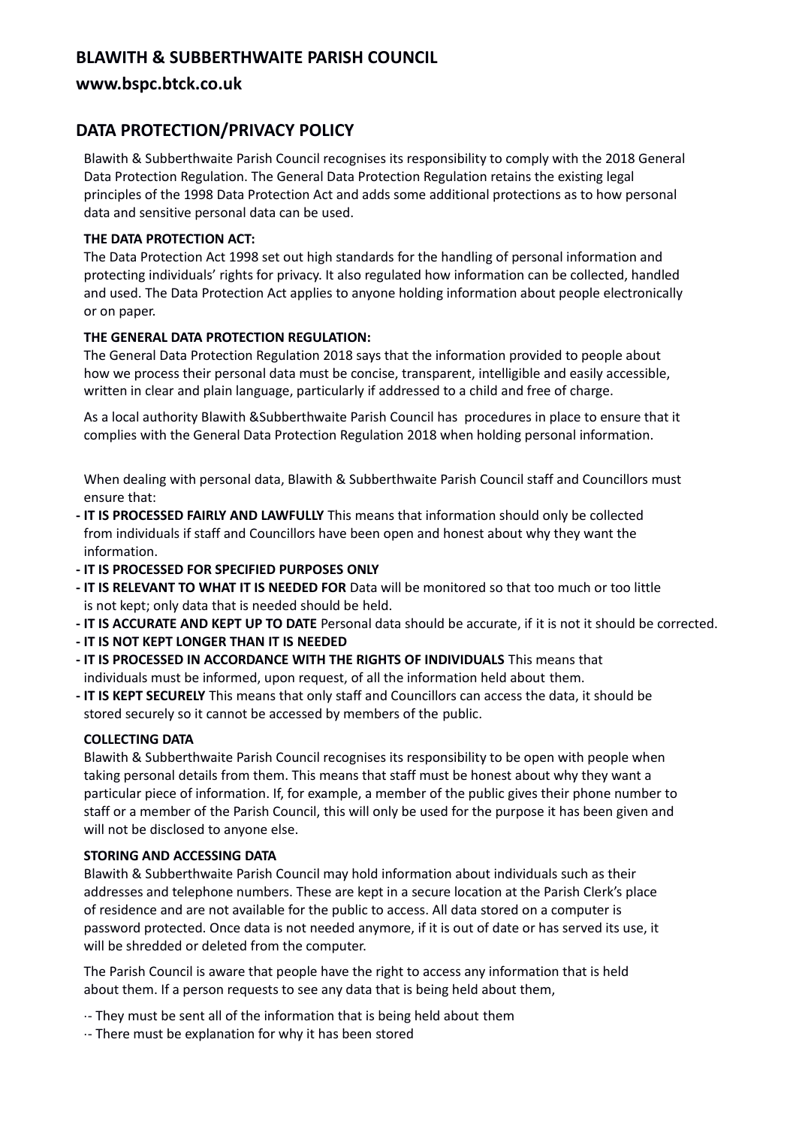# **BLAWITH & SUBBERTHWAITE PARISH COUNCIL**

## **www.bspc.btck.co.uk**

## **DATA PROTECTION/PRIVACY POLICY**

Blawith & Subberthwaite Parish Council recognises its responsibility to comply with the 2018 General Data Protection Regulation. The General Data Protection Regulation retains the existing legal principles of the 1998 Data Protection Act and adds some additional protections as to how personal data and sensitive personal data can be used.

### **THE DATA PROTECTION ACT:**

The Data Protection Act 1998 set out high standards for the handling of personal information and protecting individuals' rights for privacy. It also regulated how information can be collected, handled and used. The Data Protection Act applies to anyone holding information about people electronically or on paper.

## **THE GENERAL DATA PROTECTION REGULATION:**

The General Data Protection Regulation 2018 says that the information provided to people about how we process their personal data must be concise, transparent, intelligible and easily accessible, written in clear and plain language, particularly if addressed to a child and free of charge.

As a local authority Blawith &Subberthwaite Parish Council has procedures in place to ensure that it complies with the General Data Protection Regulation 2018 when holding personal information.

When dealing with personal data, Blawith & Subberthwaite Parish Council staff and Councillors must ensure that:

- **- IT IS PROCESSED FAIRLY AND LAWFULLY** This means that information should only be collected from individuals if staff and Councillors have been open and honest about why they want the information.
- **- IT IS PROCESSED FOR SPECIFIED PURPOSES ONLY**
- **- IT IS RELEVANT TO WHAT IT IS NEEDED FOR** Data will be monitored so that too much or too little is not kept; only data that is needed should be held.
- **- IT IS ACCURATE AND KEPT UP TO DATE** Personal data should be accurate, if it is not it should be corrected.
- **- IT IS NOT KEPT LONGER THAN IT IS NEEDED**
- **- IT IS PROCESSED IN ACCORDANCE WITH THE RIGHTS OF INDIVIDUALS** This means that individuals must be informed, upon request, of all the information held about them.
- **- IT IS KEPT SECURELY** This means that only staff and Councillors can access the data, it should be stored securely so it cannot be accessed by members of the public.

#### **COLLECTING DATA**

Blawith & Subberthwaite Parish Council recognises its responsibility to be open with people when taking personal details from them. This means that staff must be honest about why they want a particular piece of information. If, for example, a member of the public gives their phone number to staff or a member of the Parish Council, this will only be used for the purpose it has been given and will not be disclosed to anyone else.

#### **STORING AND ACCESSING DATA**

Blawith & Subberthwaite Parish Council may hold information about individuals such as their addresses and telephone numbers. These are kept in a secure location at the Parish Clerk's place of residence and are not available for the public to access. All data stored on a computer is password protected. Once data is not needed anymore, if it is out of date or has served its use, it will be shredded or deleted from the computer.

The Parish Council is aware that people have the right to access any information that is held about them. If a person requests to see any data that is being held about them,

- ·- They must be sent all of the information that is being held about them
- ·- There must be explanation for why it has been stored